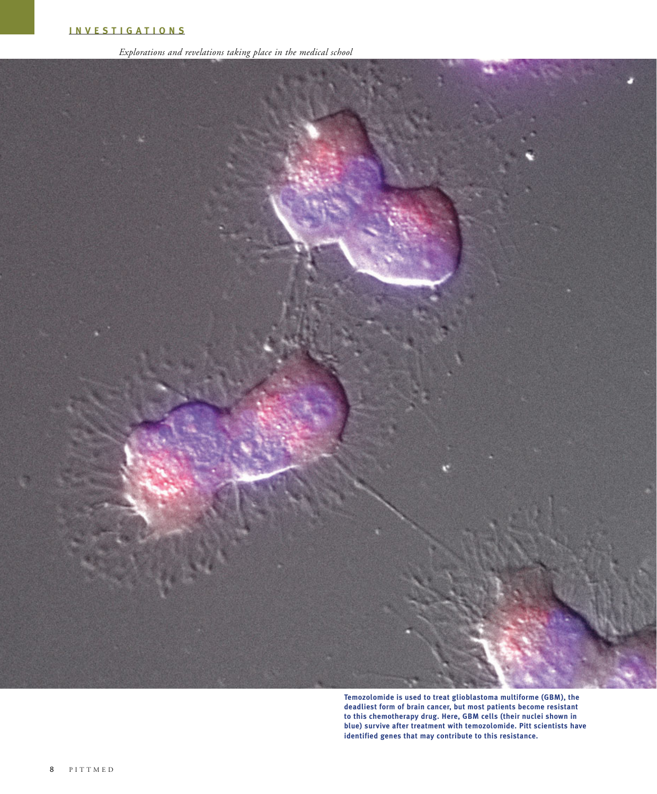*Explorations and revelations taking place in the medical school*



**Temozolomide is used to treat glioblastoma multiforme (GBM), the deadliest form of brain cancer, but most patients become resistant to this chemotherapy drug. Here, GBM cells (their nuclei shown in blue) survive after treatment with temozolomide. Pitt scientists have identified genes that may contribute to this resistance.**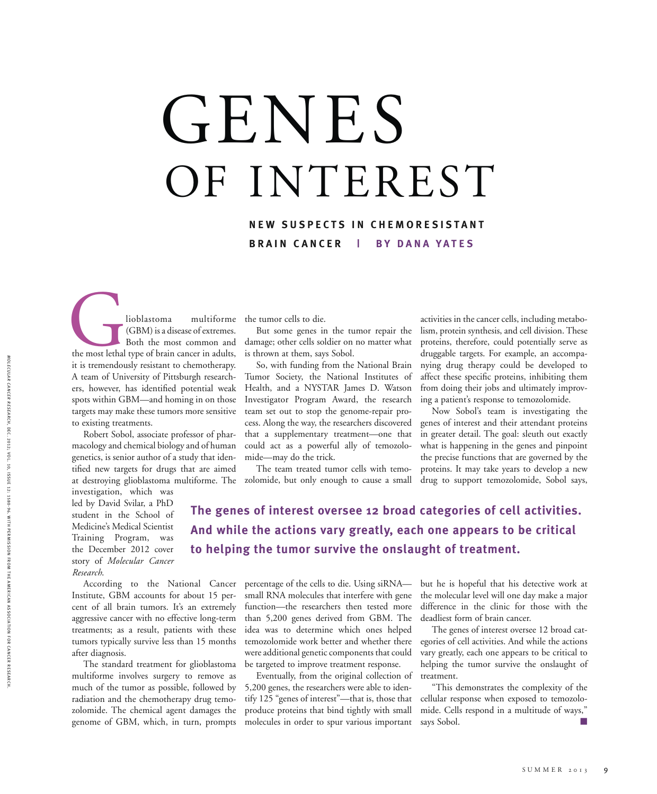## GENES OF INTEREST

#### **NEW SUSPECTS IN CHEMORESISTANT BRAIN CANCER | BY DANA YATES**

Iioblastoma multiforme<br>
(GBM) is a disease of extremes.<br>
Both the most common and<br>
the most lethal type of brain cancer in adults,<br>
it is tremendously resistant to chemotherany (GBM) is a disease of extremes. Both the most common and it is tremendously resistant to chemotherapy. A team of University of Pittsburgh researchers, however, has identified potential weak spots within GBM—and homing in on those targets may make these tumors more sensitive to existing treatments.

Robert Sobol, associate professor of pharmacology and chemical biology and of human genetics, is senior author of a study that identified new targets for drugs that are aimed at destroying glioblastoma multiforme. The zolomide, but only enough to cause a small

investigation, which was led by David Svilar, a PhD student in the School of Medicine's Medical Scientist Training Program, was the December 2012 cover story of *Molecular Cancer Research*.

Institute, GBM accounts for about 15 percent of all brain tumors. It's an extremely aggressive cancer with no effective long-term treatments; as a result, patients with these tumors typically survive less than 15 months after diagnosis.

The standard treatment for glioblastoma multiforme involves surgery to remove as much of the tumor as possible, followed by radiation and the chemotherapy drug temozolomide. The chemical agent damages the genome of GBM, which, in turn, prompts

the tumor cells to die.

But some genes in the tumor repair the damage; other cells soldier on no matter what is thrown at them, says Sobol.

So, with funding from the National Brain Tumor Society, the National Institutes of Health, and a NYSTAR James D. Watson Investigator Program Award, the research team set out to stop the genome-repair process. Along the way, the researchers discovered that a supplementary treatment—one that could act as a powerful ally of temozolomide—may do the trick.

The team treated tumor cells with temo-

activities in the cancer cells, including metabolism, protein synthesis, and cell division. These proteins, therefore, could potentially serve as druggable targets. For example, an accompanying drug therapy could be developed to affect these specific proteins, inhibiting them from doing their jobs and ultimately improving a patient's response to temozolomide.

Now Sobol's team is investigating the genes of interest and their attendant proteins in greater detail. The goal: sleuth out exactly what is happening in the genes and pinpoint the precise functions that are governed by the proteins. It may take years to develop a new drug to support temozolomide, Sobol says,

### **The genes of interest oversee 12 broad categories of cell activities. And while the actions vary greatly, each one appears to be critical to helping the tumor survive the onslaught of treatment.**

According to the National Cancer percentage of the cells to die. Using siRNA small RNA molecules that interfere with gene function—the researchers then tested more than 5,200 genes derived from GBM. The idea was to determine which ones helped temozolomide work better and whether there were additional genetic components that could be targeted to improve treatment response.

> Eventually, from the original collection of 5,200 genes, the researchers were able to identify 125 "genes of interest"—that is, those that produce proteins that bind tightly with small molecules in order to spur various important

but he is hopeful that his detective work at the molecular level will one day make a major difference in the clinic for those with the deadliest form of brain cancer.

The genes of interest oversee 12 broad categories of cell activities. And while the actions vary greatly, each one appears to be critical to helping the tumor survive the onslaught of treatment.

"This demonstrates the complexity of the cellular response when exposed to temozolomide. Cells respond in a multitude of ways," says Sobol.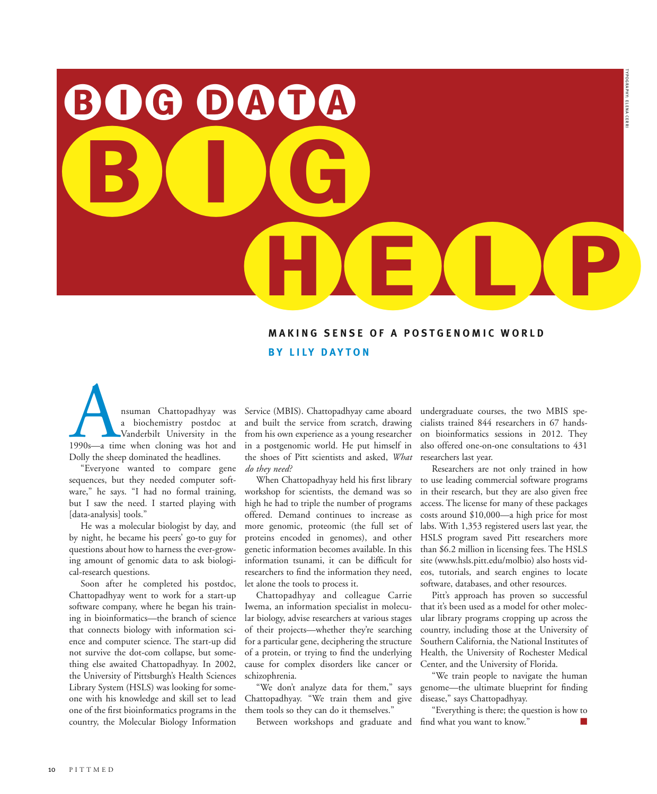TYPOGRAPHY: E LE NA CE  $\frac{1}{2}$ 

BIG DATA BUG DOUG HELP

#### **MAKING SENSE OF A POSTGENOMIC WORLD BY LILY DAYTON**

nsuman Chattopadhyay was<br>
a biochemistry postdoc at<br>
Vanderbilt University in the<br>
1990s—a time when cloning was hot and<br>
Dolly the sheep dominated the headlines a biochemistry postdoc at Vanderbilt University in the Dolly the sheep dominated the headlines.

"Everyone wanted to compare gene sequences, but they needed computer software," he says. "I had no formal training, but I saw the need. I started playing with [data-analysis] tools."

He was a molecular biologist by day, and by night, he became his peers' go-to guy for questions about how to harness the ever-growing amount of genomic data to ask biological-research questions.

Soon after he completed his postdoc, Chattopadhyay went to work for a start-up software company, where he began his training in bioinformatics—the branch of science that connects biology with information science and computer science. The start-up did not survive the dot-com collapse, but something else awaited Chattopadhyay. In 2002, the University of Pittsburgh's Health Sciences Library System (HSLS) was looking for someone with his knowledge and skill set to lead one of the first bioinformatics programs in the country, the Molecular Biology Information

Service (MBIS). Chattopadhyay came aboard and built the service from scratch, drawing from his own experience as a young researcher in a postgenomic world. He put himself in the shoes of Pitt scientists and asked, *What do they need?*

When Chattopadhyay held his first library workshop for scientists, the demand was so high he had to triple the number of programs offered. Demand continues to increase as more genomic, proteomic (the full set of proteins encoded in genomes), and other genetic information becomes available. In this information tsunami, it can be difficult for researchers to find the information they need, let alone the tools to process it.

Chattopadhyay and colleague Carrie Iwema, an information specialist in molecular biology, advise researchers at various stages of their projects—whether they're searching for a particular gene, deciphering the structure of a protein, or trying to find the underlying cause for complex disorders like cancer or schizophrenia.

"We don't analyze data for them," says Chattopadhyay. "We train them and give them tools so they can do it themselves."

Between workshops and graduate and

undergraduate courses, the two MBIS specialists trained 844 researchers in 67 handson bioinformatics sessions in 2012. They also offered one-on-one consultations to 431 researchers last year.

Researchers are not only trained in how to use leading commercial software programs in their research, but they are also given free access. The license for many of these packages costs around \$10,000—a high price for most labs. With 1,353 registered users last year, the HSLS program saved Pitt researchers more than \$6.2 million in licensing fees. The HSLS site (www.hsls.pitt.edu/molbio) also hosts videos, tutorials, and search engines to locate software, databases, and other resources.

Pitt's approach has proven so successful that it's been used as a model for other molecular library programs cropping up across the country, including those at the University of Southern California, the National Institutes of Health, the University of Rochester Medical Center, and the University of Florida.

"We train people to navigate the human genome—the ultimate blueprint for finding disease," says Chattopadhyay.

"Everything is there; the question is how to find what you want to know."